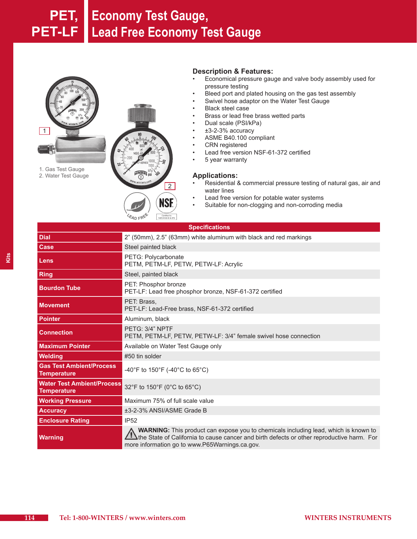# **PET, Economy Test Gauge, PET-LF Lead Free Economy Test Gauge**



**EAD FREE** 

Certified to<br>NSF/ANSI 61 & 372

### **Description & Features:**

- Economical pressure gauge and valve body assembly used for pressure testing
- Bleed port and plated housing on the gas test assembly
- Swivel hose adaptor on the Water Test Gauge
- **Black steel case**
- Brass or lead free brass wetted parts
- Dual scale (PSI/kPa)
- $±3-2-3%$  accuracy
- ASME B40.100 compliant
- **CRN** registered
- Lead free version NSF-61-372 certified
- • 5 year warranty

#### **Applications:**

- Residential & commercial pressure testing of natural gas, air and water lines
- Lead free version for potable water systems
- • Suitable for non-clogging and non-corroding media

| <b>Specifications</b>                                   |                                                                                                                                                                                                                                           |  |  |
|---------------------------------------------------------|-------------------------------------------------------------------------------------------------------------------------------------------------------------------------------------------------------------------------------------------|--|--|
| <b>Dial</b>                                             | 2" (50mm), 2.5" (63mm) white aluminum with black and red markings                                                                                                                                                                         |  |  |
| Case                                                    | Steel painted black                                                                                                                                                                                                                       |  |  |
| Lens                                                    | PETG: Polycarbonate<br>PETM, PETM-LF, PETW, PETW-LF: Acrylic                                                                                                                                                                              |  |  |
| <b>Ring</b>                                             | Steel, painted black                                                                                                                                                                                                                      |  |  |
| <b>Bourdon Tube</b>                                     | PET: Phosphor bronze<br>PET-LF: Lead free phosphor bronze, NSF-61-372 certified                                                                                                                                                           |  |  |
| <b>Movement</b>                                         | PET: Brass.<br>PET-LF: Lead-Free brass, NSF-61-372 certified                                                                                                                                                                              |  |  |
| <b>Pointer</b>                                          | Aluminum, black                                                                                                                                                                                                                           |  |  |
| <b>Connection</b>                                       | PETG: 3/4" NPTF<br>PETM, PETM-LF, PETW, PETW-LF: 3/4" female swivel hose connection                                                                                                                                                       |  |  |
| <b>Maximum Pointer</b>                                  | Available on Water Test Gauge only                                                                                                                                                                                                        |  |  |
| <b>Welding</b>                                          | #50 tin solder                                                                                                                                                                                                                            |  |  |
| <b>Gas Test Ambient/Process</b><br><b>Temperature</b>   | -40°F to 150°F (-40°C to 65°C)                                                                                                                                                                                                            |  |  |
| <b>Water Test Ambient/Process</b><br><b>Temperature</b> | 32°F to 150°F (0°C to 65°C)                                                                                                                                                                                                               |  |  |
| <b>Working Pressure</b>                                 | Maximum 75% of full scale value                                                                                                                                                                                                           |  |  |
| <b>Accuracy</b>                                         | ±3-2-3% ANSI/ASME Grade B                                                                                                                                                                                                                 |  |  |
| <b>Enclosure Rating</b>                                 | <b>IP52</b>                                                                                                                                                                                                                               |  |  |
| <b>Warning</b>                                          | <b>WARNING:</b> This product can expose you to chemicals including lead, which is known to<br>the State of California to cause cancer and birth defects or other reproductive harm. For<br>more information go to www.P65Warnings.ca.gov. |  |  |